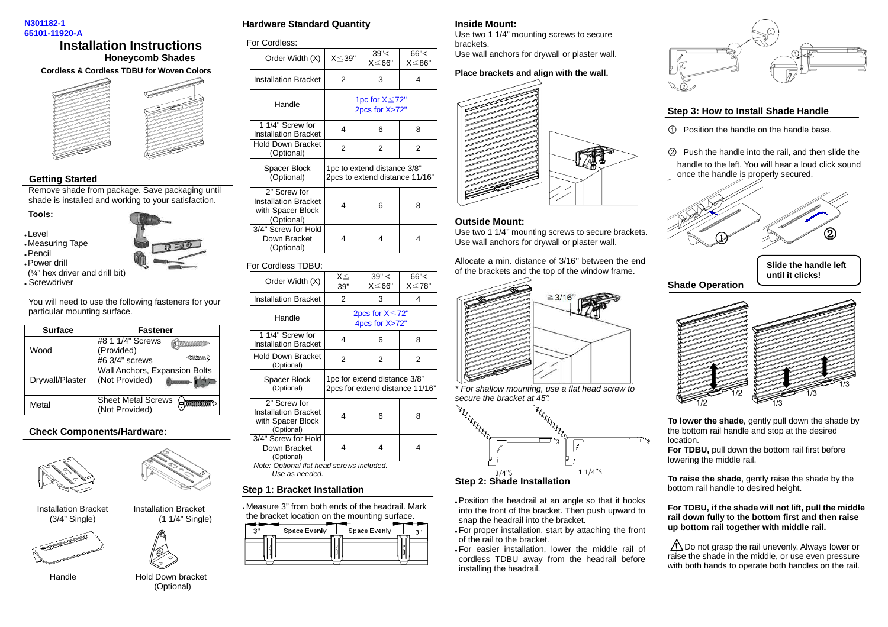#### **N301182-1 65101-11920-A**

# **Installation Instructions Honeycomb Shades**



# **Getting Started**

 Remove shade from package. Save packaging until shade is installed and working to your satisfaction.

### **Tools:**

- Level
- Measuring Tape
- Pencil
- Power drill (¼" hex driver and drill bit)
- Screwdriver

You will need to use the following fasteners for your particular mounting surface.

| <b>Surface</b>  | Fastener                                                             |
|-----------------|----------------------------------------------------------------------|
|                 | #8 1 1/4" Screws<br>_mmmmm                                           |
| Wood            | (Provided)<br>4mmac<br>$#6$ 3/4" screws                              |
| Drywall/Plaster | Wall Anchors, Expansion Bolts<br>(Not Provided)<br><b>DUSTRIANIA</b> |
| Metal           | <b>Sheet Metal Screws</b><br>Æ<br>(Not Provided)                     |

# **Check Components/Hardware:**



Installation Bracket Installation Bracket





(3/4" Single) (1 1/4" Single)



Handle **Hold Down bracket** (Optional)

| Hardware Standard Quantitv |  |
|----------------------------|--|
|                            |  |

For Cordless:

| Order Width (X)                                                                | $X \le 39"$ | 39''<<br>$X \le 66"$                                          | 66''<<br>X≦86" |
|--------------------------------------------------------------------------------|-------------|---------------------------------------------------------------|----------------|
| <b>Installation Bracket</b>                                                    | 2           | 3                                                             | 4              |
| Handle                                                                         |             | 1pc for $X \leq 72"$<br>2pcs for X>72"                        |                |
| 1 1/4" Screw for<br><b>Installation Bracket</b>                                | 4           | 6                                                             | 8              |
| <b>Hold Down Bracket</b><br>(Optional)                                         | 2           | $\overline{2}$                                                | $\overline{2}$ |
| Spacer Block<br>(Optional)                                                     |             | 1pc to extend distance 3/8"<br>2pcs to extend distance 11/16" |                |
| 2" Screw for<br><b>Installation Bracket</b><br>with Spacer Block<br>(Optional) | 4           | 6                                                             | 8              |
| 3/4" Screw for Hold<br>Down Bracket<br>(Optional)                              | 4           | 4                                                             | 4              |

### For Cordless TDBU:

| Order Width (X)                                                                | $X \leq$<br>39" | 39" <<br>X≦66"                                                  | 66''<<br>X≦78" |
|--------------------------------------------------------------------------------|-----------------|-----------------------------------------------------------------|----------------|
| <b>Installation Bracket</b>                                                    | 2               | 3                                                               | 4              |
| Handle                                                                         |                 | 2pcs for $X \le 72$ "<br>4pcs for X>72"                         |                |
| 1 1/4" Screw for<br><b>Installation Bracket</b>                                | 4               | 6                                                               | 8              |
| Hold Down Bracket<br>(Optional)                                                | 2               | 2                                                               | 2              |
| Spacer Block<br>(Optional)                                                     |                 | 1pc for extend distance 3/8"<br>2pcs for extend distance 11/16" |                |
| 2" Screw for<br><b>Installation Bracket</b><br>with Spacer Block<br>(Optional) | 4               | 6                                                               | 8              |
| 3/4" Screw for Hold<br>Down Bracket<br>(Optional)                              | 4               | 4                                                               | 4              |
| Note: Optional flat head screws included.<br>Use as needed.                    |                 |                                                                 |                |

# **Step 1: Bracket Installation**

 Measure 3" from both ends of the headrail. Mark the bracket location on the mounting surface.



#### **Inside Mount:**

 Use two 1 1/4" mounting screws to secure brackets.Use wall anchors for drywall or plaster wall.

## **Place brackets and align with the wall.**



#### **Outside Mount:**

 Use two 1 1/4'' mounting screws to secure brackets.Use wall anchors for drywall or plaster wall.

Allocate a min. distance of 3/16'' between the end of the brackets and the top of the window frame.



\* For shallow mounting, use a flat head screw to



 Position the headrail at an angle so that it hooks into the front of the bracket. Then push upward to snap the headrail into the bracket.

 For proper installation, start by attaching the front of the rail to the bracket.

 For easier installation, lower the middle rail of cordless TDBU away from the headrail before installing the headrail.



## **Step 3: How to Install Shade Handle**

- Position the handle on the handle base.
- ཱ Push the handle into the rail, and then slide the handle to the left. You will hear a loud click sound once the handle is properly secured.



**Shade OperationSlide the handle left until it clicks!**



**To lower the shade**, gently pull down the shade by the bottom rail handle and stop at the desired location.

 **For TDBU,** pull down the bottom rail first before lowering the middle rail.

**To raise the shade**, gently raise the shade by the bottom rail handle to desired height.

**For TDBU, if the shade will not lift, pull the middle rail down fully to the bottom first and then raise up bottom rail together with middle rail.** 

Do not grasp the rail unevenly. Always lower or **!** raise the shade in the middle, or use even pressure with both hands to operate both handles on the rail.